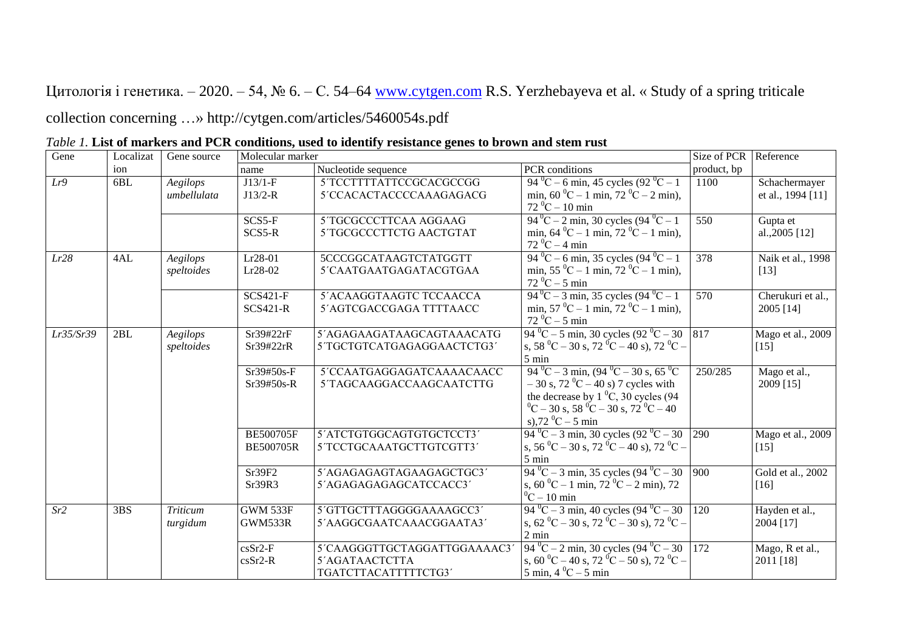Цитологія і генетика. – 2020. – 54, № 6. – С. 54–64 [www.cytgen.com](http://www.cytgen.com/) R.S. Yerzhebayeva et al. « Study of a spring triticale collection concerning …» http://cytgen.com/articles/5460054s.pdf

| Gene      | Localizat | Gene source     | Molecular marker |                             |                                                                             | Size of PCR | Reference         |
|-----------|-----------|-----------------|------------------|-----------------------------|-----------------------------------------------------------------------------|-------------|-------------------|
|           | ion       |                 | name             | Nucleotide sequence         | PCR conditions                                                              | product, bp |                   |
| Lr9       | 6BL       | Aegilops        | $J13/1-F$        | 5'TCCTTTTATTCCGCACGCCGG     | 94 °C – 6 min, 45 cycles $(92 \text{ °C} - 1)$                              | 1100        | Schachermayer     |
|           |           | umbellulata     | $J13/2-R$        | 5'CCACACTACCCCAAAGAGACG     | min, $60^{\circ}$ C – 1 min, $72^{\circ}$ C – 2 min),                       |             | et al., 1994 [11] |
|           |           |                 |                  |                             | $72\,^0C - 10\,\text{min}$                                                  |             |                   |
|           |           |                 | SCS5-F           | 5 TGCGCCCTTCAA AGGAAG       | $94^{\circ}$ C – 2 min, 30 cycles $(94^{\circ}$ C – 1                       | 550         | Gupta et          |
|           |           |                 | SCS5-R           | 5 TGCGCCCTTCTG AACTGTAT     | min, $64\,^0C - 1$ min, $72\,^0C - 1$ min),                                 |             | al., $2005$ [12]  |
|           |           |                 |                  |                             | $72\,^0C - 4$ min                                                           |             |                   |
| Lr28      | 4AL       | Aegilops        | $Lr28-01$        | 5CCCGGCATAAGTCTATGGTT       | $94\,^0C - 6$ min, 35 cycles $(94\,^0C - 1)$                                | 378         | Naik et al., 1998 |
|           |           | speltoides      | $Lr28-02$        | 5'CAATGAATGAGATACGTGAA      | min, $55\,^0C - 1$ min, $72\,^0C - 1$ min),                                 |             | $[13]$            |
|           |           |                 |                  |                             | $72\,^0C - 5$ min                                                           |             |                   |
|           |           |                 | $SCS421-F$       | 5'ACAAGGTAAGTC TCCAACCA     | $94\text{ °C} - 3 \text{ min}$ , 35 cycles $(94\text{ °C} - 1)$             | 570         | Cherukuri et al., |
|           |           |                 | <b>SCS421-R</b>  | 5'AGTCGACCGAGA TTTTAACC     | min, $57\,^0C - 1$ min, $72\,^0C - 1$ min),                                 |             | 2005 [14]         |
|           |           |                 |                  |                             | $72\,^0C - 5$ min                                                           |             |                   |
| Lr35/Sr39 | 2BL       | Aegilops        | Sr39#22rF        | 5'AGAGAAGATAAGCAGTAAACATG   | $94\,^0C - 5$ min, 30 cycles $(92\,^0C - 30)$ 817                           |             | Mago et al., 2009 |
|           |           | speltoides      | Sr39#22rR        | 5'TGCTGTCATGAGAGGAACTCTG3'  | s, 58 °C – 30 s, 72 °C – 40 s), 72 °C –                                     |             | $[15]$            |
|           |           |                 |                  |                             | $5 \text{ min}$                                                             |             |                   |
|           |           |                 | Sr39#50s-F       | 5'CCAATGAGGAGATCAAAACAACC   | $94\,^0C - 3$ min, $(94\,^0C - 30 \text{ s}, 65\,^0C)$                      | 250/285     | Mago et al.,      |
|           |           |                 | Sr39#50s-R       | 5TAGCAAGGACCAAGCAATCTTG     | $-30$ s, $72 \text{ }^0C - 40$ s) 7 cycles with                             |             | 2009 [15]         |
|           |           |                 |                  |                             | the decrease by $1\,^0C$ , 30 cycles (94)                                   |             |                   |
|           |           |                 |                  |                             | $^{0}$ C – 30 s, 58 $^{0}$ C – 30 s, 72 $^{0}$ C – 40                       |             |                   |
|           |           |                 |                  |                             | s),72 $^0C - 5$ min                                                         |             |                   |
|           |           |                 | <b>BE500705F</b> | 5'ATCTGTGGCAGTGTGCTCCT3'    | $94\,^0C - 3$ min, 30 cycles $(92\,^0C - 30)$ 290                           |             | Mago et al., 2009 |
|           |           |                 | <b>BE500705R</b> | 5'TCCTGCAAATGCTTGTCGTT3'    | s, 56 °C – 30 s, 72 °C – 40 s), 72 °C –                                     |             | $[15]$            |
|           |           |                 |                  |                             | $5 \text{ min}$                                                             |             |                   |
|           |           |                 | Sr39F2           | 5'AGAGAGAGTAGAAGAGCTGC3'    | $94\,^0C - 3$ min, 35 cycles $(94\,^0C - 30)$ 900                           |             | Gold et al., 2002 |
|           |           |                 | Sr39R3           | 5'AGAGAGAGAGCATCCACC3'      | s, $60^{\circ}$ C – 1 min, $72^{\circ}$ C – 2 min), 72                      |             | $[16]$            |
|           |           |                 |                  |                             | $^{0}$ C – 10 min                                                           |             |                   |
| Sr2       | 3BS       | <b>Triticum</b> | <b>GWM 533F</b>  | 5'GTTGCTTTAGGGGAAAAGCC3'    | $94\,^0C - 3$ min, 40 cycles $(94\,^0C - 30)$ 120                           |             | Hayden et al.,    |
|           |           | turgidum        | GWM533R          | 5'AAGGCGAATCAAACGGAATA3'    | s, 62 <sup>o</sup> C – 30 s, 72 <sup>o</sup> C – 30 s), 72 <sup>o</sup> C – |             | 2004 [17]         |
|           |           |                 |                  |                             | $2 \text{ min}$                                                             |             |                   |
|           |           |                 | $csSr2-F$        | 5'CAAGGGTTGCTAGGATTGGAAAAC3 | $94\,^0C - 2$ min, 30 cycles $(94\,^0C - 30)$   172                         |             | Mago, R et al.,   |
|           |           |                 | $csSr2-R$        | 5'AGATAACTCTTA              | s, 60 °C – 40 s, 72 °C – 50 s), 72 °C –                                     |             | 2011 [18]         |
|           |           |                 |                  | TGATCTTACATTTTTCTG3         | $5 \text{ min}$ , 4 $^0C - 5 \text{ min}$                                   |             |                   |

| Table 1. List of markers and PCR conditions, used to identify resistance genes to brown and stem rust |
|-------------------------------------------------------------------------------------------------------|
|-------------------------------------------------------------------------------------------------------|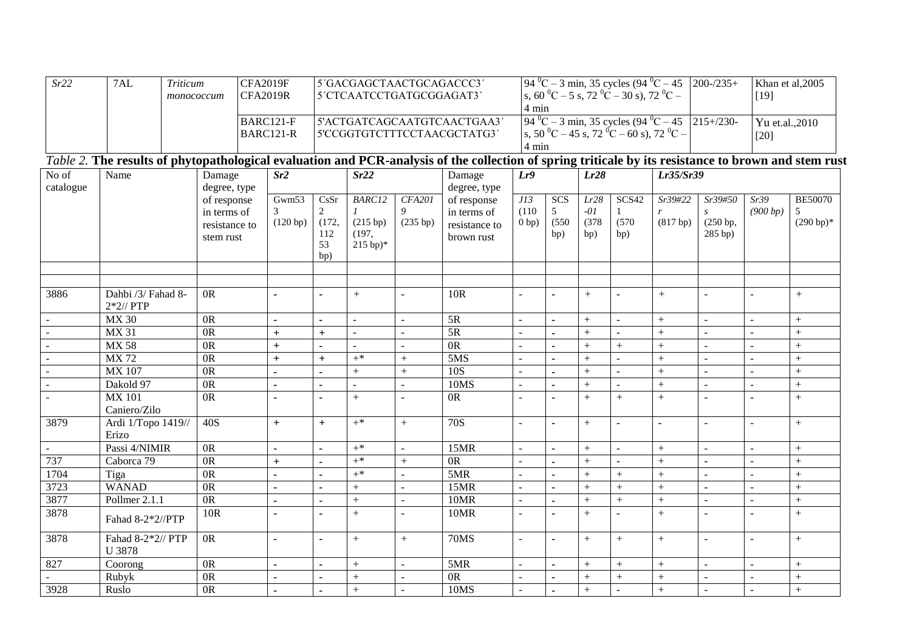| Sr22                     | 7AL<br><b>Triticum</b><br>monococcum                                                                                                                 |                | <b>CFA2019F</b><br><b>CFA2019R</b> |                        |                                                            | 5'GACGAGCTAACTGCAGACCC3'<br>5'CTCAATCCTGATGCGGAGAT3' |                |                | 4 min           |                          |                | $94\text{ °C} - 3 \text{ min}$ , 35 cycles $(94\text{ °C} - 45)$<br>s, 60 °C – 5 s, 72 °C – 30 s), 72 °C – |                                                                                                      | $200 - / 235 +$  | Khan et al, 2005<br>$[19]$   |                |                             |  |
|--------------------------|------------------------------------------------------------------------------------------------------------------------------------------------------|----------------|------------------------------------|------------------------|------------------------------------------------------------|------------------------------------------------------|----------------|----------------|-----------------|--------------------------|----------------|------------------------------------------------------------------------------------------------------------|------------------------------------------------------------------------------------------------------|------------------|------------------------------|----------------|-----------------------------|--|
|                          |                                                                                                                                                      |                |                                    | BARC121-F<br>BARC121-R | 5'ACTGATCAGCAATGTCAACTGAA3'<br>5'CCGGTGTCTTTCCTAACGCTATG3' |                                                      |                |                |                 | 4 min                    |                | s, 50 °C – 45 s, 72 °C – 60 s), 72 °C –                                                                    | $94\text{ °C} - 3 \text{ min}$ , 35 cycles $(94\text{ °C} - 45 \text{ } 215\text{ +} / 230\text{ -}$ |                  | Yu et.al., 2010<br>$[20]$    |                |                             |  |
|                          | Table 2. The results of phytopathological evaluation and PCR-analysis of the collection of spring triticale by its resistance to brown and stem rust |                |                                    |                        |                                                            |                                                      |                |                |                 |                          |                |                                                                                                            |                                                                                                      |                  |                              |                |                             |  |
| No of                    | Name                                                                                                                                                 |                | Damage                             |                        | Sr <sub>2</sub>                                            |                                                      | Sr22           |                | Damage          | Lr9                      |                | Lr28                                                                                                       |                                                                                                      | Lr35/Sr39        |                              |                |                             |  |
| catalogue                |                                                                                                                                                      |                | degree, type                       |                        |                                                            |                                                      |                |                | degree, type    |                          |                |                                                                                                            |                                                                                                      |                  |                              |                |                             |  |
|                          |                                                                                                                                                      |                | of response                        |                        | Gwm53                                                      | CsSr                                                 | <b>BARC12</b>  | <b>CFA201</b>  | of response     | JI3                      | SCS            | Lr28                                                                                                       | SCS42                                                                                                | Sr39#22          | Sr39#50                      | Sr39           | <b>BE50070</b>              |  |
|                          |                                                                                                                                                      |                | in terms of                        |                        | $\overline{3}$<br>(120 bp)                                 | $\overline{2}$<br>(172,                              | (215 bp)       | 9<br>(235 bp)  | in terms of     | (110)<br>0 bp)           | 5<br>(550)     | $-01$<br>(378)                                                                                             | (570)                                                                                                | (817 bp)         | $\boldsymbol{S}$<br>(250 bp, | (900 bp)       | 5<br>$(290 b)$ <sup>*</sup> |  |
|                          |                                                                                                                                                      |                | resistance to                      |                        |                                                            | 112                                                  | (197,          |                | resistance to   |                          | bp)            | bp)                                                                                                        | bp)                                                                                                  |                  | $285$ bp)                    |                |                             |  |
|                          |                                                                                                                                                      |                | stem rust                          |                        |                                                            | 53<br>bp)                                            | $215 bp)*$     |                | brown rust      |                          |                |                                                                                                            |                                                                                                      |                  |                              |                |                             |  |
|                          |                                                                                                                                                      |                |                                    |                        |                                                            |                                                      |                |                |                 |                          |                |                                                                                                            |                                                                                                      |                  |                              |                |                             |  |
|                          |                                                                                                                                                      |                |                                    |                        |                                                            |                                                      |                |                |                 |                          |                |                                                                                                            |                                                                                                      |                  |                              |                |                             |  |
| 3886                     | Dahbi /3/ Fahad 8-<br>$2*2$ // PTP                                                                                                                   |                | 0 <sup>R</sup>                     |                        | $\blacksquare$                                             |                                                      | $+$            | $\sim$         | 10 <sub>R</sub> | $\overline{\phantom{a}}$ |                | $+$                                                                                                        | $\overline{a}$                                                                                       | $+$              | $\blacksquare$               | $\sim$         | $+$                         |  |
| $\sim$                   | <b>MX 30</b>                                                                                                                                         | 0 <sub>R</sub> |                                    |                        | ÷,                                                         | $\overline{a}$                                       | $\overline{a}$ |                | 5R              |                          |                | $^{+}$                                                                                                     |                                                                                                      | $+$              | $\mathbb{L}$                 | $\mathbb{Z}^2$ | $\! + \!$                   |  |
| $\sim$                   | <b>MX 31</b>                                                                                                                                         |                | $\overline{OR}$                    |                        | $\boldsymbol{+}$                                           | $\ddot{}$                                            | $\blacksquare$ | $\blacksquare$ | $\overline{5R}$ | $\overline{\phantom{a}}$ |                | $^{+}$                                                                                                     |                                                                                                      | $\boldsymbol{+}$ | $\blacksquare$               | $\sim$         | $\! + \!$                   |  |
| $\overline{\phantom{a}}$ | <b>MX 58</b>                                                                                                                                         |                | 0 <sub>R</sub>                     |                        | $+$                                                        |                                                      |                |                | 0R              |                          |                | $\ddot{}$                                                                                                  | $\ddot{}$                                                                                            | $+$              |                              | $\mathbf{r}$   | $^{+}$                      |  |
| $\sim$                   | <b>MX72</b>                                                                                                                                          |                | $\overline{OR}$                    |                        | $+$                                                        | $\ddot{}$                                            | $+$ *          | $+$            | 5MS             |                          |                | $\ddot{}$                                                                                                  |                                                                                                      | $+$              |                              |                | $^{+}$                      |  |
|                          | $\overline{\text{MX }107}$                                                                                                                           |                | $\overline{OR}$                    |                        | $\overline{a}$                                             | $\blacksquare$                                       | $\overline{+}$ | $\ddot{}$      | 10S             | $\overline{a}$           |                | $\ddot{}$                                                                                                  | $\overline{a}$                                                                                       | $+$              | $\mathbf{r}$                 | $\mathbf{r}$   | $\overline{+}$              |  |
| $\sim$                   | Dakold 97                                                                                                                                            |                | $\overline{OR}$                    |                        | $\blacksquare$                                             |                                                      | $\blacksquare$ | $\sim$         | 10MS            |                          |                | $^{+}$                                                                                                     |                                                                                                      | $+$              | $\sim$                       | $\sim$         | $+$                         |  |
| $\sim$                   | <b>MX 101</b>                                                                                                                                        |                | 0 <sup>R</sup>                     |                        | $\blacksquare$                                             |                                                      | $+$            |                | 0 <sub>R</sub>  | $\overline{a}$           |                | $^{+}$                                                                                                     | $+$                                                                                                  | $+$              | $\sim$                       | $\sim$         | $+$                         |  |
|                          | Caniero/Zilo                                                                                                                                         |                |                                    |                        |                                                            |                                                      |                |                |                 |                          |                |                                                                                                            |                                                                                                      |                  |                              |                |                             |  |
| 3879                     | Ardi 1/Topo 1419//                                                                                                                                   |                | 40S                                |                        | $+$                                                        | $+$                                                  | $+$ *          | $+$            | 70S             | $\overline{a}$           |                | $^{+}$                                                                                                     | ÷.                                                                                                   | $\sim$           | $\equiv$                     | $\blacksquare$ | $+$                         |  |
|                          | Erizo                                                                                                                                                |                |                                    |                        |                                                            |                                                      |                |                |                 |                          |                |                                                                                                            |                                                                                                      |                  |                              |                |                             |  |
| $\sim$                   | Passi 4/NIMIR                                                                                                                                        |                | $\overline{OR}$                    |                        | $\blacksquare$                                             | $\mathbf{r}$                                         | $+^*$          | $\overline{a}$ | 15MR            | $\overline{a}$           | $\overline{a}$ | $^{+}$                                                                                                     | $\sim$                                                                                               | $+$              | $\mathbf{r}$                 | $\sim$         | $+$                         |  |
| 737                      | Caborca 79                                                                                                                                           |                | $\overline{OR}$                    |                        | $+$                                                        | $\blacksquare$                                       | $+$ *          | $+$            | $\overline{OR}$ |                          |                | $^{+}$                                                                                                     |                                                                                                      | $+$              |                              |                | $^{+}$                      |  |
| 1704                     | Tiga                                                                                                                                                 |                | 0R                                 |                        | $\blacksquare$                                             |                                                      | $+$ *          |                | 5MR             |                          |                | $^{+}$                                                                                                     | $^{+}$                                                                                               | $+$              |                              | $\sim$         | $+$                         |  |
| 3723                     | <b>WANAD</b>                                                                                                                                         |                | $\overline{OR}$                    |                        | $\overline{a}$                                             | $\mathbf{r}$                                         | $^{+}$         |                | 15MR            |                          |                | $^{+}$                                                                                                     | $^{+}$                                                                                               | $\ddot{}$        | $\mathbf{r}$                 | $\mathbf{r}$   | $\overline{+}$              |  |
| 3877                     | Pollmer 2.1.1                                                                                                                                        |                | $\overline{OR}$                    |                        | $\blacksquare$                                             | $\blacksquare$                                       | $^{+}$         | $\blacksquare$ | 10MR            | $\overline{\phantom{a}}$ |                | $^{+}$                                                                                                     | $^{+}$                                                                                               | $\boldsymbol{+}$ | $\equiv$                     | $\sim$         | $\ddot{}$                   |  |
| 3878                     | Fahad 8-2*2//PTP                                                                                                                                     |                | 10R                                |                        |                                                            |                                                      | $+$            |                | <b>10MR</b>     |                          |                | $\ddot{}$                                                                                                  |                                                                                                      | $+$              |                              |                | $+$                         |  |
| 3878                     | Fahad 8-2*2// PTP<br>U 3878                                                                                                                          |                | $\overline{OR}$                    |                        | $\blacksquare$                                             | $\blacksquare$                                       | $+$            | $+$            | <b>70MS</b>     | $\overline{a}$           |                | $^{+}$                                                                                                     | $^{+}$                                                                                               | $+$              | $\mathbb{L}$                 | $\sim$         | $+$                         |  |
| 827                      | Coorong                                                                                                                                              |                | 0 <sup>R</sup>                     |                        | $\blacksquare$                                             | $\blacksquare$                                       | $+$            | $\overline{a}$ | 5MR             | $\overline{a}$           | $\overline{a}$ | $^{+}$                                                                                                     | $^{+}$                                                                                               | $+$              | $\mathbf{r}$                 | $\sim$         | $+$                         |  |
| $\mathbb{Z}^2$           | Rubyk                                                                                                                                                |                | $\overline{OR}$                    |                        | ÷,                                                         |                                                      | $^{+}$         | $\sim$         | $\overline{OR}$ |                          |                | $^{+}$                                                                                                     | $^{+}$                                                                                               | $+$              | $\sim$                       |                | $\overline{+}$              |  |
| 3928                     | Ruslo                                                                                                                                                |                | $\overline{OR}$                    |                        |                                                            |                                                      | $+$            |                | 10MS            |                          |                | $^{+}$                                                                                                     |                                                                                                      | $+$              |                              | $\sim$         | $+$                         |  |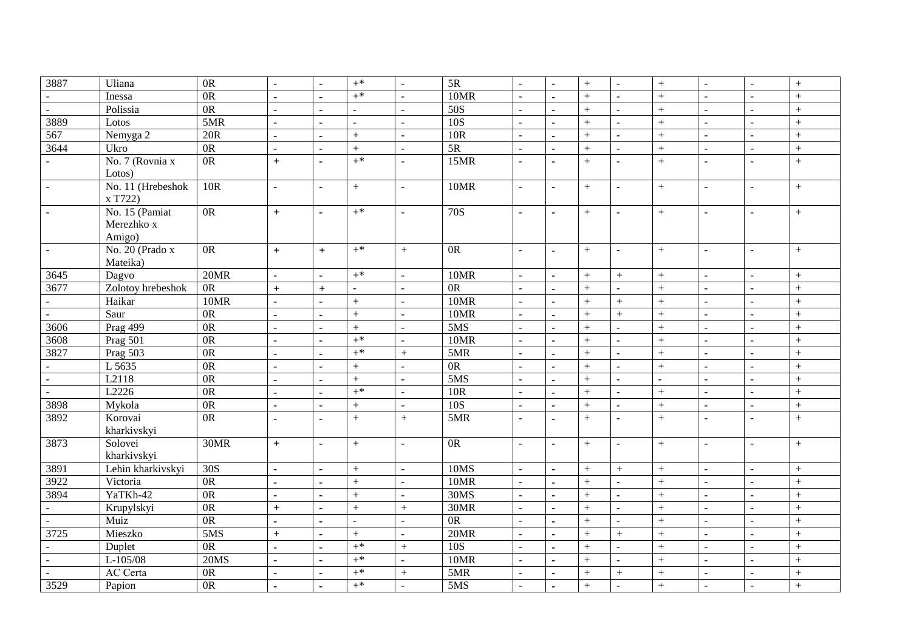| 3887                        | Uliana            | $\overline{OR}$ | $\mathbf{r}$   | $\blacksquare$           | $+^*$          | $\omega$         | 5R               |                | $\overline{a}$ | $^{+}$ | $\equiv$                 | $\qquad \qquad +$ | $\sim$                   | $\sim$         | $\boldsymbol{+}$ |
|-----------------------------|-------------------|-----------------|----------------|--------------------------|----------------|------------------|------------------|----------------|----------------|--------|--------------------------|-------------------|--------------------------|----------------|------------------|
| $\sim$                      | Inessa            | 0 <sub>R</sub>  |                | $\blacksquare$           | $+$ *          | $\overline{a}$   | 10MR             |                | $\overline{a}$ | $^{+}$ | L.                       | $+$               | $\overline{a}$           |                | $^{+}$           |
| $\omega$                    | Polissia          | 0R              | $\blacksquare$ | $\blacksquare$           | $\sim$         | $\blacksquare$   | $\overline{50S}$ |                |                | $+$    | $\blacksquare$           | $+$               | $\overline{a}$           |                | $+$              |
| 3889                        | Lotos             | 5MR             | $\overline{a}$ | $\overline{\phantom{a}}$ | $\overline{a}$ | $\mathbf{r}$     | 10S              |                | $\blacksquare$ | $+$    | $\overline{a}$           | $\ddot{}$         | $\overline{a}$           | $\mathbf{r}$   | $+$              |
| 567                         | Nemyga 2          | 20R             | $\blacksquare$ | $\blacksquare$           | $^{+}$         | $\blacksquare$   | 10R              | $\overline{a}$ | $\sim$         | $+$    | $\equiv$                 | $+$               | $\sim$                   | $\blacksquare$ | $+$              |
| 3644                        | Ukro              | $\overline{OR}$ | $\overline{a}$ | $\blacksquare$           | $+$            | $\blacksquare$   | $\overline{5R}$  |                |                | $^{+}$ | $\overline{\phantom{0}}$ | $+$               | $\overline{\phantom{a}}$ | $\overline{a}$ | $^{+}$           |
|                             | No. 7 (Rovnia x   | $\overline{OR}$ | $+$            | $\blacksquare$           | $+$ *          | $\blacksquare$   | 15MR             |                | $\blacksquare$ | $+$    | $\blacksquare$           | $+$               | $\sim$                   | $\overline{a}$ | $+$              |
|                             | Lotos)            |                 |                |                          |                |                  |                  |                |                |        |                          |                   |                          |                |                  |
| $\equiv$                    | No. 11 (Hrebeshok | 10R             | $\overline{a}$ | $\blacksquare$           | $+$            | $\blacksquare$   | 10MR             | $\sim$         | $\blacksquare$ | $^{+}$ | $\overline{\phantom{a}}$ | $+$               | $\overline{\phantom{a}}$ | $\overline{a}$ | $+$              |
|                             | x T722)           |                 |                |                          |                |                  |                  |                |                |        |                          |                   |                          |                |                  |
| $\mathbb{Z}^2$              | No. 15 (Pamiat    | 0R              | $+$            | $\blacksquare$           | $+^*$          | $\sim$           | $\overline{70S}$ |                | $\blacksquare$ | $+$    | $\blacksquare$           | $+$               | $\sim$                   | $\overline{a}$ | $^{+}$           |
|                             | Merezhko x        |                 |                |                          |                |                  |                  |                |                |        |                          |                   |                          |                |                  |
|                             | Amigo)            |                 |                |                          |                |                  |                  |                |                |        |                          |                   |                          |                |                  |
| $\mathbb{L}^2$              | No. 20 (Prado x   | 0R              | $+$            | $\pm$                    | $+^*$          | $+$              | $\overline{OR}$  |                | $\sim$         | $+$    | $\mathbf{u}$             | $+$               | $\sim$                   | $\sim$         | $+$              |
|                             | Mateika)          |                 |                |                          |                |                  |                  |                |                |        |                          |                   |                          |                |                  |
| 3645                        | Dagvo             | 20MR            | $\overline{a}$ | $\blacksquare$           | $+^*$          | $\blacksquare$   | 10MR             |                | $\blacksquare$ | $+$    | $+$                      | $+$               | $\sim$                   | $\blacksquare$ | $+$              |
| 3677                        | Zolotoy hrebeshok | 0R              | $+$            | $\boldsymbol{+}$         | $\overline{a}$ | $\mathbf{r}$     | $\overline{OR}$  |                |                | $+$    | $\overline{a}$           | $\ddot{}$         | $\overline{a}$           | $\mathbf{r}$   | $+$              |
| $\mathbf{r}$                | Haikar            | 10MR            | $\overline{a}$ | $\blacksquare$           | $^{+}$         | $\blacksquare$   | 10MR             | $\overline{a}$ | $\overline{a}$ | $+$    | $^{+}$                   | $+$               | $\sim$                   | $\sim$         | $+$              |
| $\mathcal{L}^{\mathcal{A}}$ | Saur              | 0 <sub>R</sub>  | $\mathbf{r}$   | $\blacksquare$           | $+$            | $\blacksquare$   | <b>10MR</b>      |                | $\blacksquare$ | $+$    | $^{+}$                   | $+$               | $\overline{\phantom{a}}$ | $\overline{a}$ | $+$              |
| 3606                        | Prag 499          | $\overline{OR}$ | $\blacksquare$ | $\blacksquare$           | $+$            | $\blacksquare$   | 5MS              |                | $\blacksquare$ | $+$    | $\blacksquare$           | $+$               | $\sim$                   |                | $+$              |
| 3608                        | Prag 501          | $\overline{OR}$ |                | $\overline{\phantom{a}}$ | $+^*$          | $\blacksquare$   | <b>10MR</b>      |                |                | $+$    | ÷,                       | $^{+}$            | $\overline{\phantom{a}}$ |                | $\boldsymbol{+}$ |
| 3827                        | Prag 503          | 0R              | $\overline{a}$ | $\blacksquare$           | $+^*$          | $\boldsymbol{+}$ | 5MR              |                | $\sim$         | $+$    | $\sim$                   | $+$               | $\sim$                   | $\sim$         | $+$              |
| $\omega$                    | L 5635            | 0 <sub>R</sub>  | $\overline{a}$ | $\blacksquare$           | $+$            | $\blacksquare$   | $\overline{OR}$  |                | $\mathbf{r}$   | $+$    | $\blacksquare$           | $+$               | $\overline{\phantom{a}}$ | $\overline{a}$ | $+$              |
| $\omega$                    | L2118             | 0R              | $\blacksquare$ | $\blacksquare$           | $+$            | $\blacksquare$   | 5MS              |                | $\blacksquare$ | $+$    | ÷                        |                   | $\sim$                   | $\overline{a}$ | $+$              |
| $\mathbb{Z}^2$              | L2226             | 0 <sub>R</sub>  |                | $\blacksquare$           | $+^*$          | $\blacksquare$   | 10R              |                |                | $+$    | $\overline{\phantom{0}}$ | $+$               | $\overline{a}$           | $\overline{a}$ | $^{+}$           |
| 3898                        | Mykola            | 0 <sub>R</sub>  |                | $\overline{a}$           | $\! + \!$      | $\sim$           | 10S              |                |                | $+$    | $\equiv$                 | $\qquad \qquad +$ | $\sim$                   | $\overline{a}$ | $+$              |
| 3892                        | Korovai           | $\overline{OR}$ | $\blacksquare$ | $\blacksquare$           | $+$            | $+$              | 5MR              | $\sim$         | $\overline{a}$ | $+$    | $\blacksquare$           | $\boldsymbol{+}$  | $\sim$                   | $\overline{a}$ | $+$              |
|                             | kharkivskyi       |                 |                |                          |                |                  |                  |                |                |        |                          |                   |                          |                |                  |
| 3873                        | Solovei           | 30MR            | $+$            | $\blacksquare$           | $+$            | $\sim$           | $\overline{OR}$  | $\sim$         | $\sim$         | $+$    | $\equiv$                 | $\boldsymbol{+}$  | $\sim$                   | $\mathbf{r}$   | $+$              |
|                             | kharkivskyi       |                 |                |                          |                |                  |                  |                |                |        |                          |                   |                          |                |                  |
| 3891                        | Lehin kharkivskyi | 30S             | $\overline{a}$ | $\blacksquare$           | $+$            | $\blacksquare$   | 10MS             |                | $\blacksquare$ | $+$    | $+$                      | $+$               | $\equiv$                 | $\overline{a}$ | $^{+}$           |
| 3922                        | Victoria          | 0 <sub>R</sub>  |                | $\blacksquare$           | $^{+}$         | $\overline{a}$   | 10MR             |                |                | $+$    | $\overline{a}$           | $^{+}$            | L.                       |                | $^{+}$           |
| 3894                        | YaTKh-42          | 0 <sub>R</sub>  | $\overline{a}$ | $\mathbf{r}$             | $^{+}$         | $\mathbb{L}^2$   | 30MS             | $\overline{a}$ | $\blacksquare$ | $+$    | $\mathbf{r}$             | $+$               | $\omega$                 | $\mathbb{Z}^2$ | $+$              |
| $\mathbf{L}$                | Krupylskyi        | 0R              | $\ddot{}$      | $\blacksquare$           | $+$            | $+$              | 30MR             |                | $\blacksquare$ | $+$    | $\equiv$                 | $+$               | $\blacksquare$           | $\overline{a}$ | $^{+}$           |
| $\omega$                    | Muiz              | 0R              | $\mathbf{r}$   | $\blacksquare$           | $\sim$         | $\blacksquare$   | $\overline{OR}$  |                | $\sim$         | $+$    | $\overline{\phantom{0}}$ | $+$               | $\sim$                   |                | $+$              |
| 3725                        | Mieszko           | 5MS             | $+$            | $\blacksquare$           | $+$            | $\blacksquare$   | 20MR             |                |                | $+$    | $^{+}$                   | $\boldsymbol{+}$  | $\overline{\phantom{a}}$ |                | $+$              |
| $\omega$                    | Duplet            | 0 <sub>R</sub>  | $\sim$         | $\mathbf{r}$             | $+^*$          | $+$              | 10S              | $\sim$         | $\sim$         | $+$    | $\blacksquare$           | $+$               | $\sim$                   | $\sim$         | $+$              |
| $\omega$                    | $L-105/08$        | 20MS            | $\mathbf{r}$   | $\blacksquare$           | $+^*$          | $\blacksquare$   | 10MR             |                | $\mathbf{r}$   | $+$    | $\blacksquare$           | $+$               | $\equiv$                 | $\sim$         | $+$              |
| $\omega$                    | <b>AC</b> Certa   | 0R              | $\blacksquare$ | $\blacksquare$           | $+^*$          | $+$              | 5MR              |                | $\blacksquare$ | $^{+}$ | $\boldsymbol{+}$         | $+$               | $\overline{a}$           | $\overline{a}$ | $+$              |
| 3529                        | Papion            | 0 <sub>R</sub>  |                | $\blacksquare$           | $+^*$          | $\blacksquare$   | 5MS              |                | $\blacksquare$ | $+$    | $\Box$                   | $\boldsymbol{+}$  | $\overline{\phantom{a}}$ |                | $^{+}$           |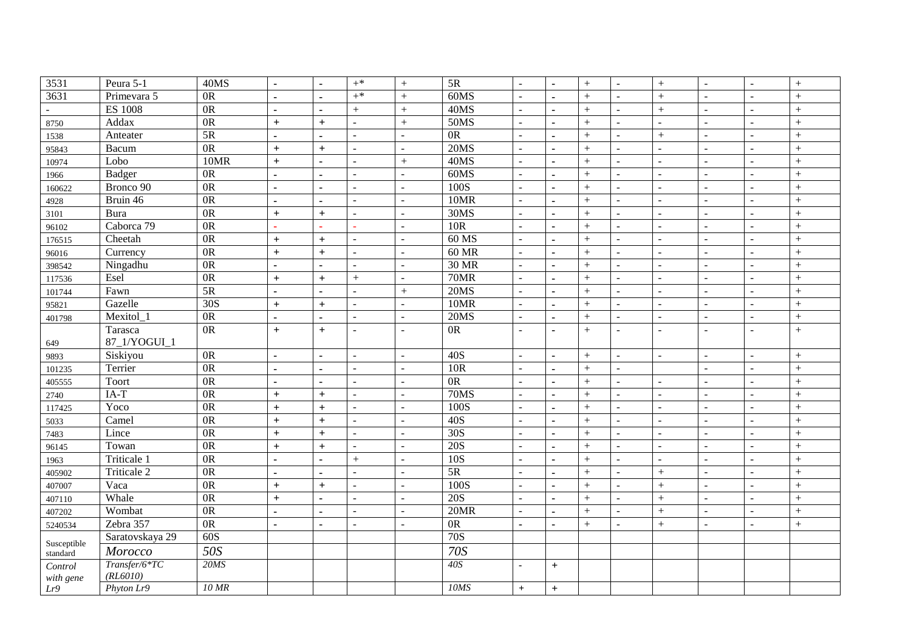| 3531                    | Peura 5-1       | 40MS             | $\blacksquare$ | $\blacksquare$   | $+^*$                    | $+$                      | $5R$            | $\sim$                   | $\blacksquare$ | $^{+}$ | $\sim$         | $+$                      | $\sim$                   | $\mathbf{r}$   | $+$       |
|-------------------------|-----------------|------------------|----------------|------------------|--------------------------|--------------------------|-----------------|--------------------------|----------------|--------|----------------|--------------------------|--------------------------|----------------|-----------|
| 3631                    | Primevara 5     | $\overline{OR}$  |                | $\blacksquare$   | $+^*$                    | $+$                      | 60MS            |                          |                | $^{+}$ |                | $+$                      | L.                       |                | $^{+}$    |
|                         | <b>ES 1008</b>  | $\overline{OR}$  |                | $\blacksquare$   | $^{+}$                   | $+$                      | 40MS            | $\sim$                   |                | $+$    | ÷.             | $+$                      | ÷.                       |                | $\ddot{}$ |
| 8750                    | Addax           | $\overline{OR}$  | $\ddot{}$      | $+$              | ÷.                       | $\! +$                   | 50MS            | $\sim$                   | ÷.             | $+$    | $\sim$         | $\sim$                   | ÷.                       | $\overline{a}$ | $^{+}$    |
| 1538                    | Anteater        | $\overline{5R}$  | $\blacksquare$ | $\blacksquare$   |                          | $\sim$                   | 0 <sub>R</sub>  | $\overline{a}$           | ÷.             | $^{+}$ | $\overline{a}$ | $+$                      | ÷,                       |                | $^{+}$    |
| 95843                   | Bacum           | $\overline{OR}$  | $+$            | $\ddot{}$        | $\overline{a}$           | $\overline{\phantom{a}}$ | 20MS            | $\sim$                   |                | $^{+}$ | $\overline{a}$ | $\sim$                   | $\overline{a}$           |                | $+$       |
| 10974                   | Lobo            | 10MR             | $\ddot{}$      |                  | $\overline{a}$           | $+$                      | 40MS            | $\overline{a}$           |                | $^{+}$ | $\overline{a}$ | $\overline{a}$           | $\overline{a}$           |                | $^{+}$    |
| 1966                    | Badger          | 0 <sub>R</sub>   | $\blacksquare$ | $\blacksquare$   | $\overline{a}$           | $\sim$                   | 60MS            | $\sim$                   | $\blacksquare$ | $^{+}$ | $\sim$         | $\sim$                   | $\sim$                   | $\overline{a}$ | $^{+}$    |
| 160622                  | Bronco 90       | $\overline{OR}$  | $\blacksquare$ | $\blacksquare$   | $\overline{a}$           | $\sim$                   | 100S            | $\overline{a}$           | L.             | $+$    | ÷.             | $\sim$                   | ÷.                       | L.             | $^{+}$    |
| 4928                    | Bruin 46        | $\overline{OR}$  | $\blacksquare$ | $\blacksquare$   | $\overline{a}$           | $\overline{\phantom{a}}$ | <b>10MR</b>     | $\sim$                   | ä,             | $^{+}$ | $\overline{a}$ | $\sim$                   | $\overline{a}$           |                | $+$       |
| 3101                    | Bura            | $\overline{OR}$  | $+$            | $+$              | $\overline{a}$           | $\sim$                   | 30MS            | $\sim$                   | ÷.             | $^{+}$ | $\overline{a}$ | $\sim$                   | $\overline{a}$           | $\overline{a}$ | $^{+}$    |
| 96102                   | Caborca 79      | $\overline{OR}$  | ÷.             | ٠                | ٠                        | $\sim$                   | 10R             | $\sim$                   | $\blacksquare$ | $+$    | $\sim$         | $\sim$                   | $\sim$                   | $\sim$         | $+$       |
| 176515                  | Cheetah         | 0R               | $\ddot{}$      | $\ddot{}$        | $\overline{a}$           | $\overline{\phantom{a}}$ | $60$ MS         | $\sim$                   |                | $^{+}$ | $\overline{a}$ | $\mathbf{r}$             | $\overline{a}$           |                | $^{+}$    |
| 96016                   | Currency        | 0R               | $\ddot{}$      | $\ddot{}$        | $\overline{\phantom{a}}$ | $\sim$                   | <b>60 MR</b>    | $\overline{\phantom{a}}$ |                | $^{+}$ | $\blacksquare$ | $\overline{\phantom{a}}$ | $\blacksquare$           |                | $+$       |
| 398542                  | Ningadhu        | 0R               | $\blacksquare$ |                  | $\overline{a}$           | $\sim$                   | <b>30 MR</b>    | $\sim$                   |                | $^{+}$ | $\sim$         | $\sim$                   | $\overline{a}$           | $\sim$         | $^{+}$    |
| 117536                  | Esel            | 0R               | $+$            | $\boldsymbol{+}$ | $+$                      | $\overline{\phantom{a}}$ | 70MR            | $\sim$                   | $\blacksquare$ | $+$    | $\blacksquare$ | $\sim$                   | $\overline{\phantom{a}}$ | $\sim$         | $+$       |
| 101744                  | Fawn            | 5R               | $\blacksquare$ | $\blacksquare$   | $\sim$                   | $+$                      | 20MS            | $\sim$                   |                | $^{+}$ | ÷.             | $\overline{\phantom{a}}$ | $\overline{a}$           | $\overline{a}$ | $^{+}$    |
| 95821                   | Gazelle         | 30S              | $\ddot{}$      | $\ddot{}$        | $\overline{a}$           | $\sim$                   | 10MR            | $\sim$                   |                | $^{+}$ | ÷.             | $\sim$                   | $\overline{a}$           |                | $^{+}$    |
| 401798                  | Mexitol_1       | $\overline{OR}$  | $\mathbf{r}$   | $\blacksquare$   | $\sim$                   | $\omega$                 | 20MS            | $\sim$                   | $\overline{a}$ | $+$    | $\equiv$       | $\omega$                 | $\sim$                   | $\mathbb{L}$   | $+$       |
|                         | Tarasca         | $\overline{OR}$  | $+$            | $+$              |                          | $\sim$                   | 0 <sub>R</sub>  | $\overline{a}$           | $\blacksquare$ | $^{+}$ | $\overline{a}$ | $\blacksquare$           | $\sim$                   |                | $^{+}$    |
| 649                     | 87 1/YOGUI 1    |                  |                |                  |                          |                          |                 |                          |                |        |                |                          |                          |                |           |
| 9893                    | Siskiyou        | 0 <sub>R</sub>   | ä,             | L,               | $\mathcal{L}$            | $\sim$                   | 40S             | $\sim$                   | ÷.             | $^{+}$ | $\equiv$       | $\mathcal{L}$            | $\overline{a}$           | $\sim$         | $+$       |
| 101235                  | Terrier         | 0R               | $\blacksquare$ | $\blacksquare$   | $\sim$                   | $\sim$                   | 10R             | $\sim$                   | $\blacksquare$ | $+$    | $\sim$         |                          | $\sim$                   | $\sim$         | $+$       |
| 405555                  | Toort           | 0R               | $\blacksquare$ | $\blacksquare$   | $\overline{a}$           | $\overline{\phantom{a}}$ | 0R              | $\overline{a}$           | ä,             | $^{+}$ | $\overline{a}$ | $\sim$                   | $\overline{a}$           | $\overline{a}$ | $\ddot{}$ |
| 2740                    | $IA-T$          | 0R               | $\ddot{}$      | $\ddot{}$        | $\sim$                   | $\sim$                   | 70MS            | $\sim$                   |                | $+$    | $\sim$         | $\sim$                   | ÷.                       |                | $+$       |
| 117425                  | Yoco            | 0R               | $\ddot{}$      | $+$              | $\overline{a}$           | $\sim$                   | 100S            | $\overline{a}$           | ÷.             | $^{+}$ | $\mathbf{r}$   | $\sim$                   | ÷.                       | $\mathbf{r}$   | $+$       |
| 5033                    | Camel           | 0R               | $\ddot{}$      | $+$              | $\overline{a}$           | $\sim$                   | 40S             | $\sim$                   |                | $^{+}$ | ÷.             | $\sim$                   | $\sim$                   | $\sim$         | $^{+}$    |
| 7483                    | Lince           | 0R               | $+$            | $\ddot{}$        | $\overline{a}$           | $\blacksquare$           | 30S             | $\sim$                   | L.             | $^{+}$ | $\overline{a}$ | $\blacksquare$           | $\overline{a}$           |                | $^{+}$    |
| 96145                   | Towan           | 0R               | $+$            | $\ddot{}$        | $\overline{a}$           | $\overline{\phantom{a}}$ | 20S             | $\sim$                   |                | $^{+}$ | $\overline{a}$ | $\overline{\phantom{a}}$ | $\sim$                   |                | $^{+}$    |
| 1963                    | Triticale 1     | 0R               | $\blacksquare$ | $\overline{a}$   | $+$                      | $\sim$                   | 10S             | $\sim$                   | $\overline{a}$ | $^{+}$ | $\sim$         | $\sim$                   | $\sim$                   | $\sim$         | $+$       |
| 405902                  | Triticale 2     | $\overline{OR}$  | $\blacksquare$ | $\blacksquare$   | $\overline{a}$           | $\blacksquare$           | 5R              | $\sim$                   | $\blacksquare$ | $+$    | ÷.             | $+$                      | $\overline{a}$           | $\overline{a}$ | $^{+}$    |
| 407007                  | Vaca            | 0R               | $\ddot{}$      | $+$              | $\sim$                   | $\sim$                   | 100S            | $\sim$                   |                | $^{+}$ | ÷.             | $+$                      | $\overline{a}$           | $\overline{a}$ | $^{+}$    |
| 407110                  | Whale           | $\overline{OR}$  | $\ddot{}$      | $\blacksquare$   | $\overline{a}$           | $\overline{\phantom{a}}$ | 20S             | $\sim$                   |                | $^{+}$ | ÷.             | $+$                      | $\overline{a}$           |                | $^{+}$    |
| 407202                  | Wombat          | $\overline{OR}$  | $\blacksquare$ | $\overline{a}$   | $\sim$                   | $\sim$                   | 20MR            | $\sim$                   | $\overline{a}$ | $+$    | $\blacksquare$ | $\! +$                   | $\sim$                   | $\mathbf{r}$   | $+$       |
| 5240534                 | Zebra 357       | 0R               | $\blacksquare$ | $\blacksquare$   |                          | $\sim$                   | $\overline{OR}$ | $\overline{a}$           | ÷.             | $^{+}$ | ÷.             | $+$                      | $\overline{a}$           | $\overline{a}$ | $^{+}$    |
|                         | Saratovskaya 29 | $\overline{60S}$ |                |                  |                          |                          | 70S             |                          |                |        |                |                          |                          |                |           |
| Susceptible<br>standard | Morocco         | 50S              |                |                  |                          |                          | 70S             |                          |                |        |                |                          |                          |                |           |
| Control                 | Transfer/6*TC   | 20MS             |                |                  |                          |                          | 40S             |                          | $+$            |        |                |                          |                          |                |           |
| with gene               | (RL6010)        |                  |                |                  |                          |                          |                 |                          |                |        |                |                          |                          |                |           |
| Lr9                     | Phyton Lr9      | 10MR             |                |                  |                          |                          | 10MS            | $+$                      | $+$            |        |                |                          |                          |                |           |